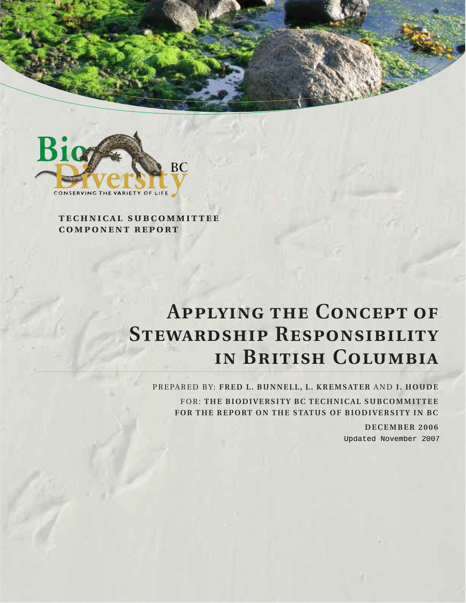

**technical subcommittee component report**

# **Applying the Concept of Stewardship Responsibility in British Columbia**

PREPARED BY: **FRED L. BUNNELL, L. KREMSATER** AND **I. HOUDE** FOR: **THE BIODIVERSITY BC TECHNICAL SUBCOMMITTEE FOR THE REPORT ON THE STATUS OF BIODIVERSITY IN BC**

> **DECEMBER 2006** Updated November 2007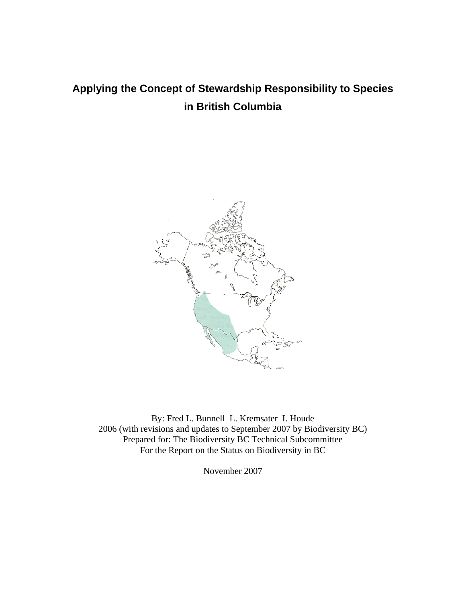# **Applying the Concept of Stewardship Responsibility to Species in British Columbia**



By: Fred L. Bunnell L. Kremsater I. Houde 2006 (with revisions and updates to September 2007 by Biodiversity BC) Prepared for: The Biodiversity BC Technical Subcommittee For the Report on the Status on Biodiversity in BC

November 2007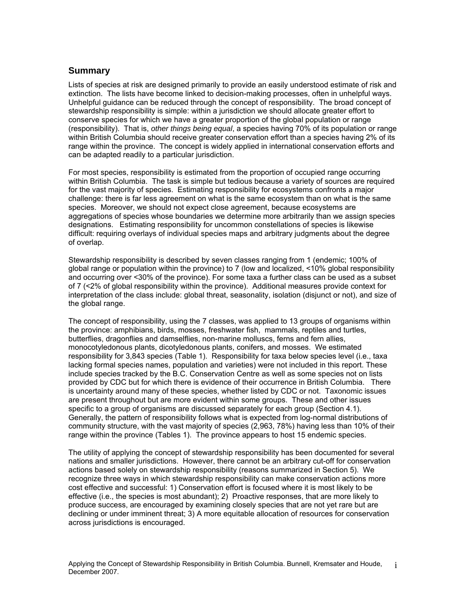#### **Summary**

Lists of species at risk are designed primarily to provide an easily understood estimate of risk and extinction. The lists have become linked to decision-making processes, often in unhelpful ways. Unhelpful guidance can be reduced through the concept of responsibility. The broad concept of stewardship responsibility is simple: within a jurisdiction we should allocate greater effort to conserve species for which we have a greater proportion of the global population or range (responsibility). That is, *other things being equal*, a species having 70% of its population or range within British Columbia should receive greater conservation effort than a species having 2% of its range within the province. The concept is widely applied in international conservation efforts and can be adapted readily to a particular jurisdiction.

For most species, responsibility is estimated from the proportion of occupied range occurring within British Columbia. The task is simple but tedious because a variety of sources are required for the vast majority of species. Estimating responsibility for ecosystems confronts a major challenge: there is far less agreement on what is the same ecosystem than on what is the same species. Moreover, we should not expect close agreement, because ecosystems are aggregations of species whose boundaries we determine more arbitrarily than we assign species designations. Estimating responsibility for uncommon constellations of species is likewise difficult: requiring overlays of individual species maps and arbitrary judgments about the degree of overlap.

Stewardship responsibility is described by seven classes ranging from 1 (endemic; 100% of global range or population within the province) to 7 (low and localized, <10% global responsibility and occurring over <30% of the province). For some taxa a further class can be used as a subset of 7 (<2% of global responsibility within the province). Additional measures provide context for interpretation of the class include: global threat, seasonality, isolation (disjunct or not), and size of the global range.

The concept of responsibility, using the 7 classes, was applied to 13 groups of organisms within the province: amphibians, birds, mosses, freshwater fish, mammals, reptiles and turtles, butterflies, dragonflies and damselflies, non-marine molluscs, ferns and fern allies, monocotyledonous plants, dicotyledonous plants, conifers, and mosses. We estimated responsibility for 3,843 species (Table 1). Responsibility for taxa below species level (i.e., taxa lacking formal species names, population and varieties) were not included in this report. These include species tracked by the B.C. Conservation Centre as well as some species not on lists provided by CDC but for which there is evidence of their occurrence in British Columbia. There is uncertainty around many of these species, whether listed by CDC or not. Taxonomic issues are present throughout but are more evident within some groups. These and other issues specific to a group of organisms are discussed separately for each group (Section 4.1). Generally, the pattern of responsibility follows what is expected from log-normal distributions of community structure, with the vast majority of species (2,963, 78%) having less than 10% of their range within the province (Tables 1). The province appears to host 15 endemic species.

The utility of applying the concept of stewardship responsibility has been documented for several nations and smaller jurisdictions. However, there cannot be an arbitrary cut-off for conservation actions based solely on stewardship responsibility (reasons summarized in Section 5). We recognize three ways in which stewardship responsibility can make conservation actions more cost effective and successful: 1) Conservation effort is focused where it is most likely to be effective (i.e., the species is most abundant); 2) Proactive responses, that are more likely to produce success, are encouraged by examining closely species that are not yet rare but are declining or under imminent threat; 3) A more equitable allocation of resources for conservation across jurisdictions is encouraged.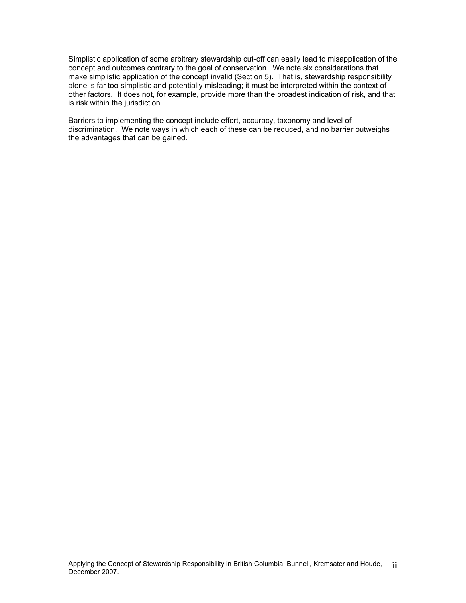Simplistic application of some arbitrary stewardship cut-off can easily lead to misapplication of the concept and outcomes contrary to the goal of conservation. We note six considerations that make simplistic application of the concept invalid (Section 5). That is, stewardship responsibility alone is far too simplistic and potentially misleading; it must be interpreted within the context of other factors. It does not, for example, provide more than the broadest indication of risk, and that is risk within the jurisdiction.

Barriers to implementing the concept include effort, accuracy, taxonomy and level of discrimination. We note ways in which each of these can be reduced, and no barrier outweighs the advantages that can be gained.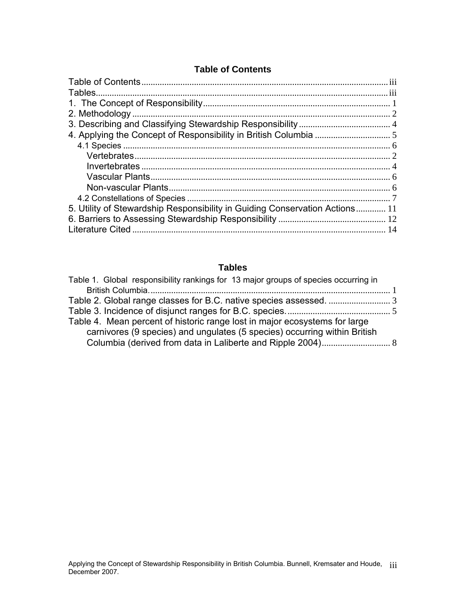# **Table of Contents**

<span id="page-4-0"></span>

| 5. Utility of Stewardship Responsibility in Guiding Conservation Actions 11 |  |
|-----------------------------------------------------------------------------|--|
|                                                                             |  |
|                                                                             |  |
|                                                                             |  |

# **Tables**

| Table 1. Global responsibility rankings for 13 major groups of species occurring in |  |
|-------------------------------------------------------------------------------------|--|
|                                                                                     |  |
|                                                                                     |  |
|                                                                                     |  |
| Table 4. Mean percent of historic range lost in major ecosystems for large          |  |
| carnivores (9 species) and ungulates (5 species) occurring within British           |  |
|                                                                                     |  |
|                                                                                     |  |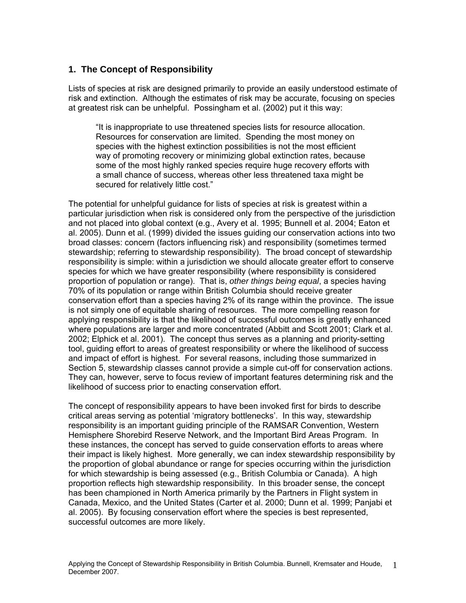#### <span id="page-5-0"></span>**1. The Concept of Responsibility**

Lists of species at risk are designed primarily to provide an easily understood estimate of risk and extinction. Although the estimates of risk may be accurate, focusing on species at greatest risk can be unhelpful. Possingham et al. (2002) put it this way:

"It is inappropriate to use threatened species lists for resource allocation. Resources for conservation are limited. Spending the most money on species with the highest extinction possibilities is not the most efficient way of promoting recovery or minimizing global extinction rates, because some of the most highly ranked species require huge recovery efforts with a small chance of success, whereas other less threatened taxa might be secured for relatively little cost."

The potential for unhelpful guidance for lists of species at risk is greatest within a particular jurisdiction when risk is considered only from the perspective of the jurisdiction and not placed into global context (e.g., Avery et al. 1995; Bunnell et al. 2004; Eaton et al. 2005). Dunn et al. (1999) divided the issues guiding our conservation actions into two broad classes: concern (factors influencing risk) and responsibility (sometimes termed stewardship; referring to stewardship responsibility). The broad concept of stewardship responsibility is simple: within a jurisdiction we should allocate greater effort to conserve species for which we have greater responsibility (where responsibility is considered proportion of population or range). That is, *other things being equal*, a species having 70% of its population or range within British Columbia should receive greater conservation effort than a species having 2% of its range within the province. The issue is not simply one of equitable sharing of resources. The more compelling reason for applying responsibility is that the likelihood of successful outcomes is greatly enhanced where populations are larger and more concentrated (Abbitt and Scott 2001; Clark et al. 2002; Elphick et al. 2001). The concept thus serves as a planning and priority-setting tool, guiding effort to areas of greatest responsibility or where the likelihood of success and impact of effort is highest. For several reasons, including those summarized in Section 5, stewardship classes cannot provide a simple cut-off for conservation actions. They can, however, serve to focus review of important features determining risk and the likelihood of success prior to enacting conservation effort.

The concept of responsibility appears to have been invoked first for birds to describe critical areas serving as potential 'migratory bottlenecks'. In this way, stewardship responsibility is an important guiding principle of the RAMSAR Convention, Western Hemisphere Shorebird Reserve Network, and the Important Bird Areas Program. In these instances, the concept has served to guide conservation efforts to areas where their impact is likely highest. More generally, we can index stewardship responsibility by the proportion of global abundance or range for species occurring within the jurisdiction for which stewardship is being assessed (e.g., British Columbia or Canada). A high proportion reflects high stewardship responsibility. In this broader sense, the concept has been championed in North America primarily by the Partners in Flight system in Canada, Mexico, and the United States (Carter et al. 2000; Dunn et al. 1999; Panjabi et al. 2005). By focusing conservation effort where the species is best represented, successful outcomes are more likely.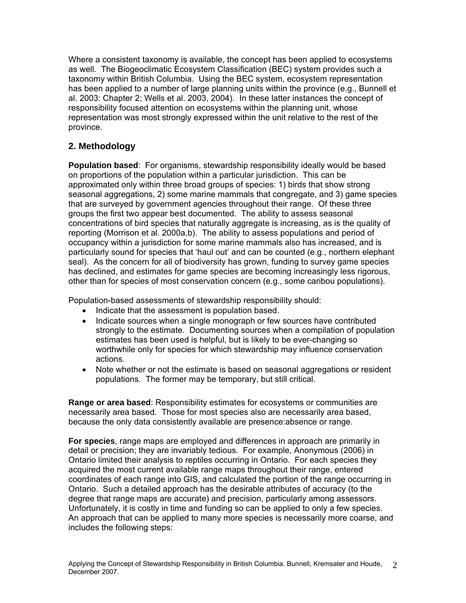<span id="page-6-0"></span>Where a consistent taxonomy is available, the concept has been applied to ecosystems as well. The Biogeoclimatic Ecosystem Classification (BEC) system provides such a taxonomy within British Columbia. Using the BEC system, ecosystem representation has been applied to a number of large planning units within the province (e.g., Bunnell et al. 2003: Chapter 2; Wells et al. 2003, 2004). In these latter instances the concept of responsibility focused attention on ecosystems within the planning unit, whose representation was most strongly expressed within the unit relative to the rest of the province.

#### **2. Methodology**

**Population based**: For organisms, stewardship responsibility ideally would be based on proportions of the population within a particular jurisdiction. This can be approximated only within three broad groups of species: 1) birds that show strong seasonal aggregations, 2) some marine mammals that congregate, and 3) game species that are surveyed by government agencies throughout their range. Of these three groups the first two appear best documented. The ability to assess seasonal concentrations of bird species that naturally aggregate is increasing, as is the quality of reporting (Morrison et al. 2000a,b). The ability to assess populations and period of occupancy within a jurisdiction for some marine mammals also has increased, and is particularly sound for species that 'haul out' and can be counted (e.g., northern elephant seal). As the concern for all of biodiversity has grown, funding to survey game species has declined, and estimates for game species are becoming increasingly less rigorous, other than for species of most conservation concern (e.g., some caribou populations).

Population-based assessments of stewardship responsibility should:

- Indicate that the assessment is population based.
- Indicate sources when a single monograph or few sources have contributed strongly to the estimate. Documenting sources when a compilation of population estimates has been used is helpful, but is likely to be ever-changing so worthwhile only for species for which stewardship may influence conservation actions.
- Note whether or not the estimate is based on seasonal aggregations or resident populations. The former may be temporary, but still critical.

**Range or area based**: Responsibility estimates for ecosystems or communities are necessarily area based. Those for most species also are necessarily area based, because the only data consistently available are presence:absence or range.

**For species**, range maps are employed and differences in approach are primarily in detail or precision; they are invariably tedious. For example, Anonymous (2006) in Ontario limited their analysis to reptiles occurring in Ontario. For each species they acquired the most current available range maps throughout their range, entered coordinates of each range into GIS, and calculated the portion of the range occurring in Ontario. Such a detailed approach has the desirable attributes of accuracy (to the degree that range maps are accurate) and precision, particularly among assessors. Unfortunately, it is costly in time and funding so can be applied to only a few species. An approach that can be applied to many more species is necessarily more coarse, and includes the following steps: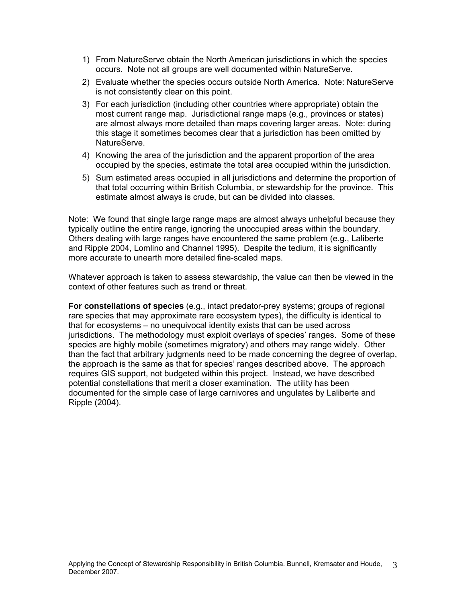- 1) From NatureServe obtain the North American jurisdictions in which the species occurs. Note not all groups are well documented within NatureServe.
- 2) Evaluate whether the species occurs outside North America. Note: NatureServe is not consistently clear on this point.
- 3) For each jurisdiction (including other countries where appropriate) obtain the most current range map. Jurisdictional range maps (e.g., provinces or states) are almost always more detailed than maps covering larger areas. Note: during this stage it sometimes becomes clear that a jurisdiction has been omitted by NatureServe.
- 4) Knowing the area of the jurisdiction and the apparent proportion of the area occupied by the species, estimate the total area occupied within the jurisdiction.
- 5) Sum estimated areas occupied in all jurisdictions and determine the proportion of that total occurring within British Columbia, or stewardship for the province. This estimate almost always is crude, but can be divided into classes.

Note: We found that single large range maps are almost always unhelpful because they typically outline the entire range, ignoring the unoccupied areas within the boundary. Others dealing with large ranges have encountered the same problem (e.g., Laliberte and Ripple 2004, Lomlino and Channel 1995). Despite the tedium, it is significantly more accurate to unearth more detailed fine-scaled maps.

Whatever approach is taken to assess stewardship, the value can then be viewed in the context of other features such as trend or threat.

**For constellations of species** (e.g., intact predator-prey systems; groups of regional rare species that may approximate rare ecosystem types), the difficulty is identical to that for ecosystems – no unequivocal identity exists that can be used across jurisdictions. The methodology must exploit overlays of species' ranges. Some of these species are highly mobile (sometimes migratory) and others may range widely. Other than the fact that arbitrary judgments need to be made concerning the degree of overlap, the approach is the same as that for species' ranges described above. The approach requires GIS support, not budgeted within this project. Instead, we have described potential constellations that merit a closer examination. The utility has been documented for the simple case of large carnivores and ungulates by Laliberte and Ripple (2004).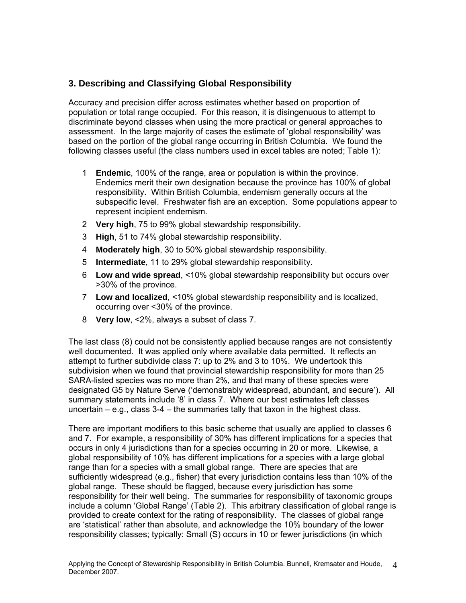#### <span id="page-8-0"></span>**3. Describing and Classifying Global Responsibility**

Accuracy and precision differ across estimates whether based on proportion of population or total range occupied. For this reason, it is disingenuous to attempt to discriminate beyond classes when using the more practical or general approaches to assessment. In the large majority of cases the estimate of 'global responsibility' was based on the portion of the global range occurring in British Columbia. We found the following classes useful (the class numbers used in excel tables are noted; Table 1):

- 1 **Endemic**, 100% of the range, area or population is within the province. Endemics merit their own designation because the province has 100% of global responsibility. Within British Columbia, endemism generally occurs at the subspecific level. Freshwater fish are an exception. Some populations appear to represent incipient endemism.
- 2 **Very high**, 75 to 99% global stewardship responsibility.
- 3 **High**, 51 to 74% global stewardship responsibility.
- 4 **Moderately high**, 30 to 50% global stewardship responsibility.
- 5 **Intermediate**, 11 to 29% global stewardship responsibility.
- 6 **Low and wide spread**, <10% global stewardship responsibility but occurs over >30% of the province.
- 7 **Low and localized**, <10% global stewardship responsibility and is localized, occurring over <30% of the province.
- 8 **Very low**, <2%, always a subset of class 7.

The last class (8) could not be consistently applied because ranges are not consistently well documented. It was applied only where available data permitted. It reflects an attempt to further subdivide class 7: up to 2% and 3 to 10%. We undertook this subdivision when we found that provincial stewardship responsibility for more than 25 SARA-listed species was no more than 2%, and that many of these species were designated G5 by Nature Serve ('demonstrably widespread, abundant, and secure'). All summary statements include '8' in class 7. Where our best estimates left classes uncertain  $-$  e.g., class  $3-4$  – the summaries tally that taxon in the highest class.

There are important modifiers to this basic scheme that usually are applied to classes 6 and 7. For example, a responsibility of 30% has different implications for a species that occurs in only 4 jurisdictions than for a species occurring in 20 or more. Likewise, a global responsibility of 10% has different implications for a species with a large global range than for a species with a small global range. There are species that are sufficiently widespread (e.g., fisher) that every jurisdiction contains less than 10% of the global range. These should be flagged, because every jurisdiction has some responsibility for their well being. The summaries for responsibility of taxonomic groups include a column 'Global Range' (Table 2). This arbitrary classification of global range is provided to create context for the rating of responsibility. The classes of global range are 'statistical' rather than absolute, and acknowledge the 10% boundary of the lower responsibility classes; typically: Small (S) occurs in 10 or fewer jurisdictions (in which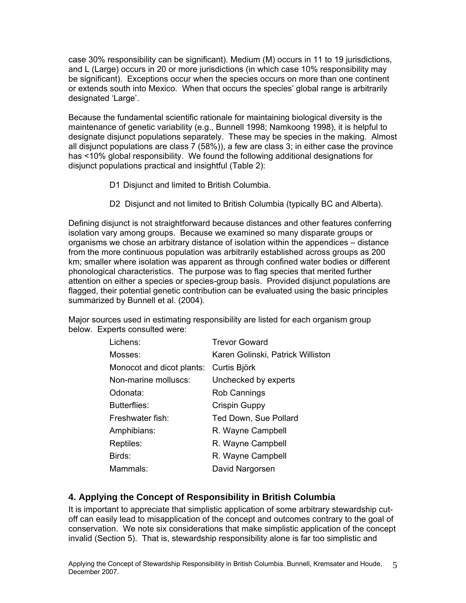<span id="page-9-0"></span>case 30% responsibility can be significant). Medium (M) occurs in 11 to 19 jurisdictions, and L (Large) occurs in 20 or more jurisdictions (in which case 10% responsibility may be significant). Exceptions occur when the species occurs on more than one continent or extends south into Mexico. When that occurs the species' global range is arbitrarily designated 'Large'.

Because the fundamental scientific rationale for maintaining biological diversity is the maintenance of genetic variability (e.g., Bunnell 1998; Namkoong 1998), it is helpful to designate disjunct populations separately. These may be species in the making. Almost all disjunct populations are class 7 (58%)), a few are class 3; in either case the province has <10% global responsibility. We found the following additional designations for disjunct populations practical and insightful (Table 2):

- D1 Disjunct and limited to British Columbia.
- D2 Disjunct and not limited to British Columbia (typically BC and Alberta).

Defining disjunct is not straightforward because distances and other features conferring isolation vary among groups. Because we examined so many disparate groups or organisms we chose an arbitrary distance of isolation within the appendices – distance from the more continuous population was arbitrarily established across groups as 200 km; smaller where isolation was apparent as through confined water bodies or different phonological characteristics. The purpose was to flag species that merited further attention on either a species or species-group basis. Provided disjunct populations are flagged, their potential genetic contribution can be evaluated using the basic principles summarized by Bunnell et al. (2004).

Major sources used in estimating responsibility are listed for each organism group below. Experts consulted were:

| Lichens:                  | <b>Trevor Goward</b>              |
|---------------------------|-----------------------------------|
| Mosses:                   | Karen Golinski, Patrick Williston |
| Monocot and dicot plants: | Curtis Björk                      |
| Non-marine molluscs:      | Unchecked by experts              |
| Odonata:                  | Rob Cannings                      |
| <b>Butterflies:</b>       | Crispin Guppy                     |
| Freshwater fish:          | Ted Down, Sue Pollard             |
| Amphibians:               | R. Wayne Campbell                 |
| Reptiles:                 | R. Wayne Campbell                 |
| Birds:                    | R. Wayne Campbell                 |
| Mammals:                  | David Nargorsen                   |

#### **4. Applying the Concept of Responsibility in British Columbia**

It is important to appreciate that simplistic application of some arbitrary stewardship cutoff can easily lead to misapplication of the concept and outcomes contrary to the goal of conservation. We note six considerations that make simplistic application of the concept invalid (Section 5). That is, stewardship responsibility alone is far too simplistic and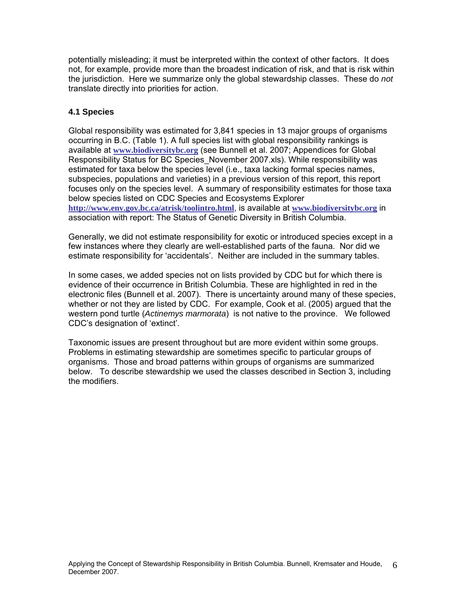<span id="page-10-0"></span>potentially misleading; it must be interpreted within the context of other factors. It does not, for example, provide more than the broadest indication of risk, and that is risk within the jurisdiction. Here we summarize only the global stewardship classes. These do *not*  translate directly into priorities for action.

#### **4.1 Species**

Global responsibility was estimated for 3,841 species in 13 major groups of organisms occurring in B.C. (Table 1). A full species list with global responsibility rankings is available at **[www.biodiversitybc.org](http://www.biodiversitybc.org/)** (see Bunnell et al. 2007; Appendices for Global Responsibility Status for BC Species\_November 2007.xls). While responsibility was estimated for taxa below the species level (i.e., taxa lacking formal species names, subspecies, populations and varieties) in a previous version of this report, this report focuses only on the species level. A summary of responsibility estimates for those taxa below species listed on CDC Species and Ecosystems Explorer **<http://www.env.gov.bc.ca/atrisk/toolintro.html>**, is available at **[www.biodiversitybc.org](http://www.biodiversitybc.org/)** in association with report: The Status of Genetic Diversity in British Columbia.

Generally, we did not estimate responsibility for exotic or introduced species except in a few instances where they clearly are well-established parts of the fauna. Nor did we estimate responsibility for 'accidentals'. Neither are included in the summary tables.

In some cases, we added species not on lists provided by CDC but for which there is evidence of their occurrence in British Columbia. These are highlighted in red in the electronic files (Bunnell et al. 2007). There is uncertainty around many of these species, whether or not they are listed by CDC. For example, Cook et al. (2005) argued that the western pond turtle (*Actinemys marmorata*) is not native to the province. We followed CDC's designation of 'extinct'.

Taxonomic issues are present throughout but are more evident within some groups. Problems in estimating stewardship are sometimes specific to particular groups of organisms. Those and broad patterns within groups of organisms are summarized below. To describe stewardship we used the classes described in Section 3, including the modifiers.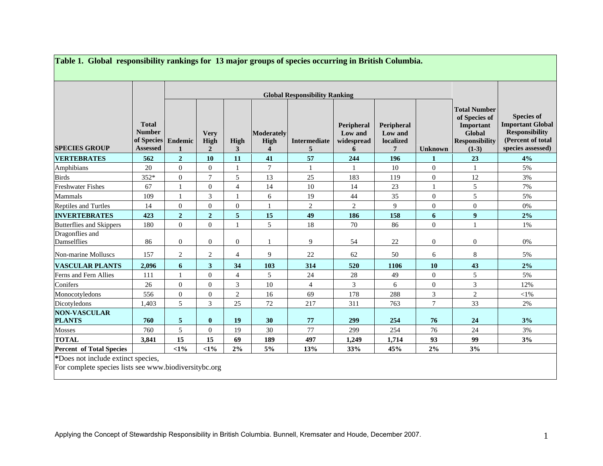|                                      |                                                                | <b>Global Responsibility Ranking</b> |                                       |                |                         |                          |                                          |                                         |                  |                                                                                                        |                                                                                                                 |
|--------------------------------------|----------------------------------------------------------------|--------------------------------------|---------------------------------------|----------------|-------------------------|--------------------------|------------------------------------------|-----------------------------------------|------------------|--------------------------------------------------------------------------------------------------------|-----------------------------------------------------------------------------------------------------------------|
| <b>SPECIES GROUP</b>                 | <b>Total</b><br><b>Number</b><br>of Species<br><b>Assessed</b> | <b>Endemic</b><br>1                  | <b>Very</b><br>High<br>$\overline{2}$ | High<br>3      | Moderately<br>High<br>4 | <b>Intermediate</b><br>5 | Peripheral<br>Low and<br>widespread<br>6 | Peripheral<br>Low and<br>localized<br>7 | <b>Unknown</b>   | <b>Total Number</b><br>of Species of<br>Important<br><b>Global</b><br><b>Responsibility</b><br>$(1-3)$ | <b>Species of</b><br><b>Important Global</b><br><b>Responsibility</b><br>(Percent of total<br>species assessed) |
| <b>VERTEBRATES</b>                   | 562                                                            | $\overline{2}$                       | 10                                    | 11             | 41                      | 57                       | 244                                      | 196                                     | $\mathbf{1}$     | 23                                                                                                     | 4%                                                                                                              |
| Amphibians                           | 20                                                             | $\mathbf{0}$                         | $\overline{0}$                        |                | 7                       | $\mathbf{1}$             | $\mathbf{1}$                             | 10                                      | $\mathbf{0}$     | $\mathbf{1}$                                                                                           | 5%                                                                                                              |
| <b>Birds</b>                         | 352*                                                           | $\overline{0}$                       | $\overline{7}$                        | 5              | 13                      | 25                       | 183                                      | 119                                     | $\mathbf{0}$     | 12                                                                                                     | 3%                                                                                                              |
| <b>Freshwater Fishes</b>             | 67                                                             |                                      | $\overline{0}$                        | $\overline{4}$ | 14                      | 10                       | 14                                       | 23                                      |                  | 5                                                                                                      | 7%                                                                                                              |
| Mammals                              | 109                                                            | 1                                    | 3                                     |                | 6                       | 19                       | 44                                       | 35                                      | $\boldsymbol{0}$ | 5                                                                                                      | 5%                                                                                                              |
| <b>Reptiles and Turtles</b>          | 14                                                             | $\overline{0}$                       | $\Omega$                              | $\overline{0}$ | 1                       | 2                        | 2                                        | 9                                       | $\mathbf{0}$     | $\theta$                                                                                               | $0\%$                                                                                                           |
| <b>INVERTEBRATES</b>                 | 423                                                            | $\mathbf{2}$                         | $\overline{2}$                        | 5              | 15                      | 49                       | 186                                      | 158                                     | 6                | $\boldsymbol{9}$                                                                                       | 2%                                                                                                              |
| Butterflies and Skippers             | 180                                                            | $\Omega$                             | $\Omega$                              | $\mathbf{1}$   | 5                       | 18                       | 70                                       | 86                                      | $\theta$         | $\mathbf{1}$                                                                                           | 1%                                                                                                              |
| Dragonflies and<br>Damselflies       | 86                                                             | $\Omega$                             | $\overline{0}$                        | $\overline{0}$ |                         | 9                        | 54                                       | 22                                      | $\mathbf{0}$     | $\theta$                                                                                               | 0%                                                                                                              |
| Non-marine Molluscs                  | 157                                                            | 2                                    | $\overline{2}$                        | $\overline{4}$ | 9                       | 22                       | 62                                       | 50                                      | 6                | 8                                                                                                      | 5%                                                                                                              |
| <b>VASCULAR PLANTS</b>               | 2,096                                                          | 6                                    | $\mathbf{3}$                          | 34             | 103                     | 314                      | 520                                      | 1106                                    | <b>10</b>        | 43                                                                                                     | 2%                                                                                                              |
| Ferns and Fern Allies                | 111                                                            |                                      | $\Omega$                              | $\overline{4}$ | 5                       | 24                       | 28                                       | 49                                      | $\mathbf{0}$     | 5                                                                                                      | 5%                                                                                                              |
| Conifers                             | 26                                                             | $\overline{0}$                       | $\overline{0}$                        | 3              | 10                      | $\overline{4}$           | 3                                        | 6                                       | $\boldsymbol{0}$ | 3                                                                                                      | 12%                                                                                                             |
| Monocotyledons                       | 556                                                            | $\overline{0}$                       | $\overline{0}$                        | $\overline{2}$ | 16                      | 69                       | 178                                      | 288                                     | 3                | $\overline{c}$                                                                                         | $<\!\!1\%$                                                                                                      |
| Dicotyledons                         | 1,403                                                          | 5                                    | 3                                     | 25             | 72                      | 217                      | 311                                      | 763                                     | $\tau$           | 33                                                                                                     | 2%                                                                                                              |
| <b>NON-VASCULAR</b><br><b>PLANTS</b> | 760                                                            | 5                                    | $\bf{0}$                              | 19             | 30                      | 77                       | 299                                      | 254                                     | 76               | 24                                                                                                     | 3%                                                                                                              |
| Mosses                               | 760                                                            | 5                                    | $\Omega$                              | 19             | 30                      | 77                       | 299                                      | 254                                     | 76               | 24                                                                                                     | 3%                                                                                                              |
| <b>TOTAL</b>                         | 3,841                                                          | 15                                   | 15                                    | 69             | 189                     | 497                      | 1,249                                    | 1,714                                   | 93               | 99                                                                                                     | 3%                                                                                                              |
| <b>Percent of Total Species</b>      |                                                                | $<1\%$                               | $<1\%$                                | 2%             | 5%                      | 13%                      | 33%                                      | 45%                                     | 2%               | 3%                                                                                                     |                                                                                                                 |

**Table 1. Global responsibility rankings for 13 major groups of species occurring in British Columbia.** 

<span id="page-11-0"></span>For complete species lists see www.biodiversitybc.org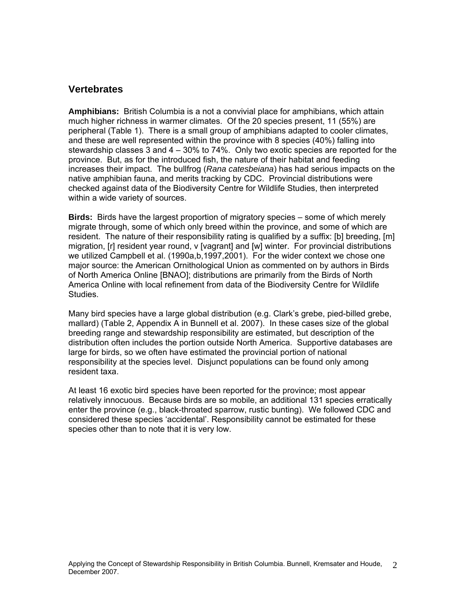#### <span id="page-12-0"></span>**Vertebrates**

**Amphibians:** British Columbia is a not a convivial place for amphibians, which attain much higher richness in warmer climates. Of the 20 species present, 11 (55%) are peripheral (Table 1). There is a small group of amphibians adapted to cooler climates, and these are well represented within the province with 8 species (40%) falling into stewardship classes 3 and 4 – 30% to 74%. Only two exotic species are reported for the province. But, as for the introduced fish, the nature of their habitat and feeding increases their impact. The bullfrog (*Rana catesbeiana*) has had serious impacts on the native amphibian fauna, and merits tracking by CDC. Provincial distributions were checked against data of the Biodiversity Centre for Wildlife Studies, then interpreted within a wide variety of sources.

**Birds:** Birds have the largest proportion of migratory species – some of which merely migrate through, some of which only breed within the province, and some of which are resident. The nature of their responsibility rating is qualified by a suffix: [b] breeding, [m] migration, [r] resident year round, v [vagrant] and [w] winter. For provincial distributions we utilized Campbell et al. (1990a,b,1997,2001). For the wider context we chose one major source: the American Ornithological Union as commented on by authors in Birds of North America Online [BNAO]; distributions are primarily from the Birds of North America Online with local refinement from data of the Biodiversity Centre for Wildlife Studies.

Many bird species have a large global distribution (e.g. Clark's grebe, pied-billed grebe, mallard) (Table 2, Appendix A in Bunnell et al. 2007). In these cases size of the global breeding range and stewardship responsibility are estimated, but description of the distribution often includes the portion outside North America. Supportive databases are large for birds, so we often have estimated the provincial portion of national responsibility at the species level. Disjunct populations can be found only among resident taxa.

At least 16 exotic bird species have been reported for the province; most appear relatively innocuous. Because birds are so mobile, an additional 131 species erratically enter the province (e.g., black-throated sparrow, rustic bunting). We followed CDC and considered these species 'accidental'. Responsibility cannot be estimated for these species other than to note that it is very low.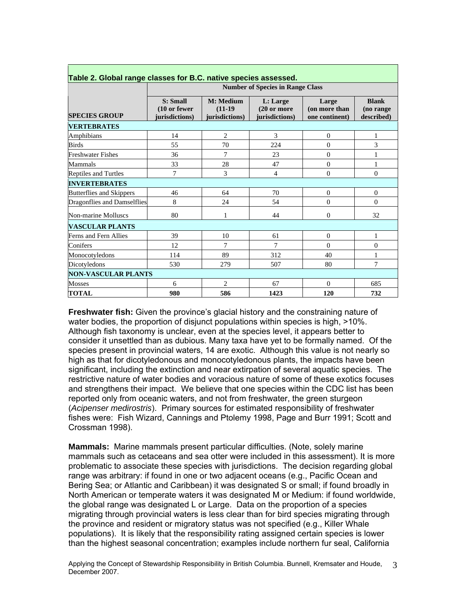|                             | <b>Number of Species in Range Class</b>    |                                          |                                            |                                          |                                         |
|-----------------------------|--------------------------------------------|------------------------------------------|--------------------------------------------|------------------------------------------|-----------------------------------------|
| <b>SPECIES GROUP</b>        | S: Small<br>(10 or fewer<br>jurisdictions) | M: Medium<br>$(11-19)$<br>jurisdictions) | L: Large<br>(20 or more)<br>jurisdictions) | Large<br>(on more than<br>one continent) | <b>Blank</b><br>(no range<br>described) |
| <b>VERTEBRATES</b>          |                                            |                                          |                                            |                                          |                                         |
| Amphibians                  | 14                                         | $\overline{2}$                           | 3                                          | $\mathbf{0}$                             | 1                                       |
| <b>Birds</b>                | 55                                         | 70                                       | 224                                        | $\overline{0}$                           | 3                                       |
| <b>Freshwater Fishes</b>    | 36                                         | 7                                        | 23                                         | $\theta$                                 | 1                                       |
| Mammals                     | 33                                         | 28                                       | 47                                         | $\theta$                                 | 1                                       |
| <b>Reptiles and Turtles</b> | 7                                          | 3                                        | $\overline{4}$                             | $\overline{0}$                           | $\mathbf{0}$                            |
| <b>INVERTEBRATES</b>        |                                            |                                          |                                            |                                          |                                         |
| Butterflies and Skippers    | 46                                         | 64                                       | 70                                         | $\overline{0}$                           | $\theta$                                |
| Dragonflies and Damselflies | 8                                          | 24                                       | 54                                         | $\mathbf{0}$                             | $\theta$                                |
| Non-marine Molluscs         | 80                                         | 1                                        | 44                                         | $\overline{0}$                           | 32                                      |
| <b>VASCULAR PLANTS</b>      |                                            |                                          |                                            |                                          |                                         |
| Ferns and Fern Allies       | 39                                         | 10                                       | 61                                         | $\overline{0}$                           | 1                                       |
| Conifers                    | 12                                         | 7                                        | 7                                          | 0                                        | $\Omega$                                |
| Monocotyledons              | 114                                        | 89                                       | 312                                        | 40                                       | 1                                       |
| Dicotyledons                | 530                                        | 279                                      | 507                                        | 80                                       | 7                                       |
| <b>NON-VASCULAR PLANTS</b>  |                                            |                                          |                                            |                                          |                                         |
| <b>Mosses</b>               | 6                                          | $\overline{2}$                           | 67                                         | $\Omega$                                 | 685                                     |
| <b>TOTAL</b>                | 980                                        | 586                                      | 1423                                       | 120                                      | 732                                     |

### <span id="page-13-0"></span>**Table 2. Global range classes for B.C. native species assessed.**

**Freshwater fish:** Given the province's glacial history and the constraining nature of water bodies, the proportion of disjunct populations within species is high, >10%. Although fish taxonomy is unclear, even at the species level, it appears better to consider it unsettled than as dubious. Many taxa have yet to be formally named. Of the species present in provincial waters, 14 are exotic. Although this value is not nearly so high as that for dicotyledonous and monocotyledonous plants, the impacts have been significant, including the extinction and near extirpation of several aquatic species. The restrictive nature of water bodies and voracious nature of some of these exotics focuses and strengthens their impact. We believe that one species within the CDC list has been reported only from oceanic waters, and not from freshwater, the green sturgeon (*Acipenser medirostris*). Primary sources for estimated responsibility of freshwater fishes were: Fish Wizard, Cannings and Ptolemy 1998, Page and Burr 1991; Scott and Crossman 1998).

**Mammals:** Marine mammals present particular difficulties. (Note, solely marine mammals such as cetaceans and sea otter were included in this assessment). It is more problematic to associate these species with jurisdictions. The decision regarding global range was arbitrary: if found in one or two adjacent oceans (e.g., Pacific Ocean and Bering Sea; or Atlantic and Caribbean) it was designated S or small; if found broadly in North American or temperate waters it was designated M or Medium: if found worldwide, the global range was designated L or Large. Data on the proportion of a species migrating through provincial waters is less clear than for bird species migrating through the province and resident or migratory status was not specified (e.g., Killer Whale populations). It is likely that the responsibility rating assigned certain species is lower than the highest seasonal concentration; examples include northern fur seal, California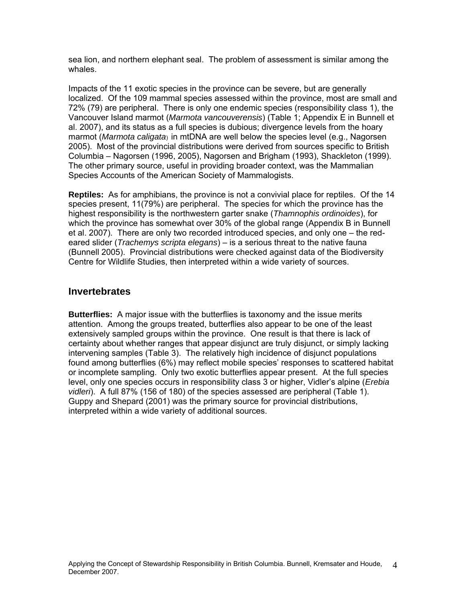<span id="page-14-0"></span>sea lion, and northern elephant seal. The problem of assessment is similar among the whales.

Impacts of the 11 exotic species in the province can be severe, but are generally localized. Of the 109 mammal species assessed within the province, most are small and 72% (79) are peripheral. There is only one endemic species (responsibility class 1), the Vancouver Island marmot (*Marmota vancouverensis*) (Table 1; Appendix E in Bunnell et al. 2007), and its status as a full species is dubious; divergence levels from the hoary marmot (*Marmota caligata*) in mtDNA are well below the species level (e.g., Nagorsen 2005). Most of the provincial distributions were derived from sources specific to British Columbia – Nagorsen (1996, 2005), Nagorsen and Brigham (1993), Shackleton (1999). The other primary source, useful in providing broader context, was the Mammalian Species Accounts of the American Society of Mammalogists.

**Reptiles:** As for amphibians, the province is not a convivial place for reptiles. Of the 14 species present, 11(79%) are peripheral. The species for which the province has the highest responsibility is the northwestern garter snake (*Thamnophis ordinoides*), for which the province has somewhat over 30% of the global range (Appendix B in Bunnell et al. 2007). There are only two recorded introduced species, and only one – the redeared slider (*Trachemys scripta elegans*) – is a serious threat to the native fauna (Bunnell 2005). Provincial distributions were checked against data of the Biodiversity Centre for Wildlife Studies, then interpreted within a wide variety of sources.

#### **Invertebrates**

**Butterflies:** A major issue with the butterflies is taxonomy and the issue merits attention. Among the groups treated, butterflies also appear to be one of the least extensively sampled groups within the province. One result is that there is lack of certainty about whether ranges that appear disjunct are truly disjunct, or simply lacking intervening samples (Table 3). The relatively high incidence of disjunct populations found among butterflies (6%) may reflect mobile species' responses to scattered habitat or incomplete sampling. Only two exotic butterflies appear present. At the full species level, only one species occurs in responsibility class 3 or higher, Vidler's alpine (*Erebia vidleri*). A full 87% (156 of 180) of the species assessed are peripheral (Table 1). Guppy and Shepard (2001) was the primary source for provincial distributions, interpreted within a wide variety of additional sources.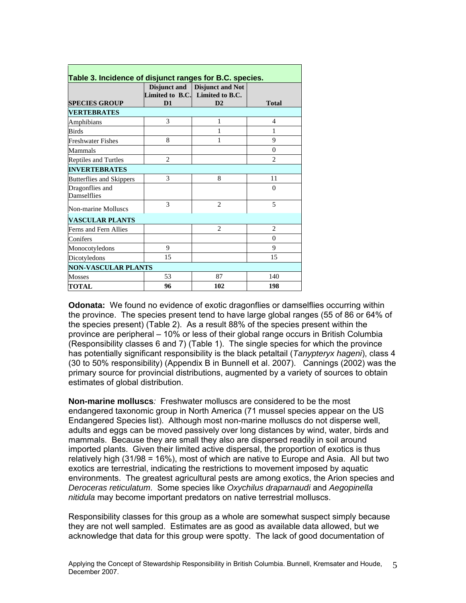<span id="page-15-0"></span>

| <b>SPECIES GROUP</b>            | D <sub>1</sub> | Disjunct and Disjunct and Not<br>Limited to B.C. Limited to B.C.<br>D2 | <b>Total</b>   |
|---------------------------------|----------------|------------------------------------------------------------------------|----------------|
| <b>VERTEBRATES</b>              |                |                                                                        |                |
| Amphibians                      | 3              | 1                                                                      | 4              |
| <b>Birds</b>                    |                | 1                                                                      | 1              |
| Freshwater Fishes               | 8              | 1                                                                      | 9              |
| Mammals                         |                |                                                                        | $\theta$       |
| <b>Reptiles and Turtles</b>     | $\overline{c}$ |                                                                        | $\overline{2}$ |
| <b>INVERTEBRATES</b>            |                |                                                                        |                |
| <b>Butterflies and Skippers</b> | 3              | 8                                                                      | 11             |
| Dragonflies and<br>Damselflies  |                |                                                                        | $\theta$       |
| Non-marine Molluscs             | $\mathcal{R}$  | $\overline{c}$                                                         | 5              |
| <b>VASCULAR PLANTS</b>          |                |                                                                        |                |
| Ferns and Fern Allies           |                | $\overline{c}$                                                         | $\overline{c}$ |
| Conifers                        |                |                                                                        | $\theta$       |
| Monocotyledons                  | $\mathbf Q$    |                                                                        | 9              |
| Dicotyledons                    | 15             |                                                                        | 15             |
| <b>NON-VASCULAR PLANTS</b>      |                |                                                                        |                |
| <b>Mosses</b>                   | 53             | 87                                                                     | 140            |
| <b>TOTAL</b>                    | 96             | 102                                                                    | 198            |

**Odonata:** We found no evidence of exotic dragonflies or damselflies occurring within the province. The species present tend to have large global ranges (55 of 86 or 64% of the species present) (Table 2). As a result 88% of the species present within the province are peripheral – 10% or less of their global range occurs in British Columbia (Responsibility classes 6 and 7) (Table 1). The single species for which the province has potentially significant responsibility is the black petaltail (*Tanypteryx hageni*), class 4 (30 to 50% responsibility) (Appendix B in Bunnell et al. 2007). Cannings (2002) was the primary source for provincial distributions, augmented by a variety of sources to obtain estimates of global distribution.

**Non-marine molluscs***:* Freshwater molluscs are considered to be the most endangered taxonomic group in North America (71 mussel species appear on the US Endangered Species list). Although most non-marine molluscs do not disperse well, adults and eggs can be moved passively over long distances by wind, water, birds and mammals. Because they are small they also are dispersed readily in soil around imported plants. Given their limited active dispersal, the proportion of exotics is thus relatively high (31/98 = 16%), most of which are native to Europe and Asia. All but two exotics are terrestrial, indicating the restrictions to movement imposed by aquatic environments. The greatest agricultural pests are among exotics, the Arion species and *Deroceras reticulatum*. Some species like *Oxychilus draparnaudi* and *Aegopinella nitidula* may become important predators on native terrestrial molluscs.

Responsibility classes for this group as a whole are somewhat suspect simply because they are not well sampled. Estimates are as good as available data allowed, but we acknowledge that data for this group were spotty. The lack of good documentation of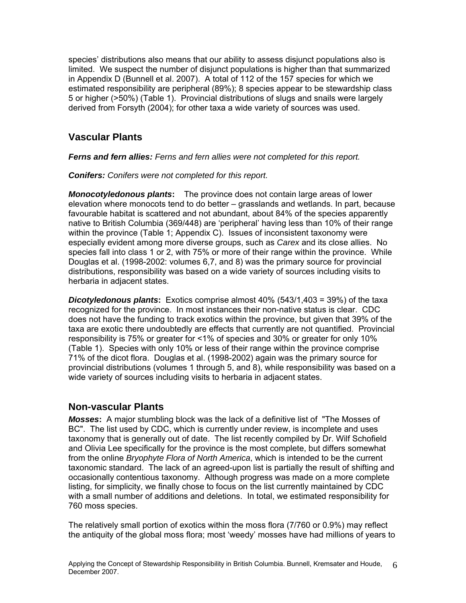<span id="page-16-0"></span>species' distributions also means that our ability to assess disjunct populations also is limited. We suspect the number of disjunct populations is higher than that summarized in Appendix D (Bunnell et al. 2007). A total of 112 of the 157 species for which we estimated responsibility are peripheral (89%); 8 species appear to be stewardship class 5 or higher (>50%) (Table 1). Provincial distributions of slugs and snails were largely derived from Forsyth (2004); for other taxa a wide variety of sources was used.

## **Vascular Plants**

*Ferns and fern allies: Ferns and fern allies were not completed for this report.*

*Conifers: Conifers were not completed for this report.* 

*Monocotyledonous plants***:** The province does not contain large areas of lower elevation where monocots tend to do better – grasslands and wetlands. In part, because favourable habitat is scattered and not abundant, about 84% of the species apparently native to British Columbia (369/448) are 'peripheral' having less than 10% of their range within the province (Table 1; Appendix C). Issues of inconsistent taxonomy were especially evident among more diverse groups, such as *Carex* and its close allies. No species fall into class 1 or 2, with 75% or more of their range within the province. While Douglas et al. (1998-2002: volumes 6,7, and 8) was the primary source for provincial distributions, responsibility was based on a wide variety of sources including visits to herbaria in adjacent states.

*Dicotyledonous plants***:** Exotics comprise almost 40% (543/1,403 = 39%) of the taxa recognized for the province. In most instances their non-native status is clear. CDC does not have the funding to track exotics within the province, but given that 39% of the taxa are exotic there undoubtedly are effects that currently are not quantified. Provincial responsibility is 75% or greater for <1% of species and 30% or greater for only 10% (Table 1). Species with only 10% or less of their range within the province comprise 71% of the dicot flora. Douglas et al. (1998-2002) again was the primary source for provincial distributions (volumes 1 through 5, and 8), while responsibility was based on a wide variety of sources including visits to herbaria in adjacent states.

#### **Non-vascular Plants**

*Mosses***:** A major stumbling block was the lack of a definitive list of "The Mosses of BC". The list used by CDC, which is currently under review, is incomplete and uses taxonomy that is generally out of date. The list recently compiled by Dr. Wilf Schofield and Olivia Lee specifically for the province is the most complete, but differs somewhat from the online *Bryophyte Flora of North America*, which is intended to be the current taxonomic standard. The lack of an agreed-upon list is partially the result of shifting and occasionally contentious taxonomy. Although progress was made on a more complete listing, for simplicity, we finally chose to focus on the list currently maintained by CDC with a small number of additions and deletions. In total, we estimated responsibility for 760 moss species.

The relatively small portion of exotics within the moss flora (7/760 or 0.9%) may reflect the antiquity of the global moss flora; most 'weedy' mosses have had millions of years to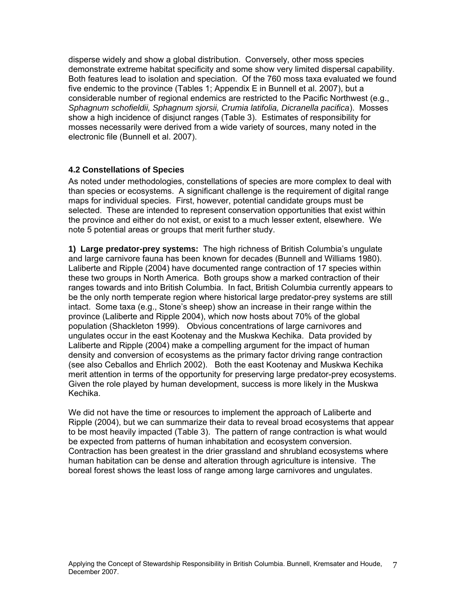<span id="page-17-0"></span>disperse widely and show a global distribution. Conversely, other moss species demonstrate extreme habitat specificity and some show very limited dispersal capability. Both features lead to isolation and speciation. Of the 760 moss taxa evaluated we found five endemic to the province (Tables 1; Appendix E in Bunnell et al. 2007), but a considerable number of regional endemics are restricted to the Pacific Northwest (e.g., *Sphagnum schofieldii, Sphagnum sjorsii, Crumia latifolia, Dicranella pacifica*). Mosses show a high incidence of disjunct ranges (Table 3). Estimates of responsibility for mosses necessarily were derived from a wide variety of sources, many noted in the electronic file (Bunnell et al. 2007).

#### **4.2 Constellations of Species**

As noted under methodologies, constellations of species are more complex to deal with than species or ecosystems. A significant challenge is the requirement of digital range maps for individual species. First, however, potential candidate groups must be selected. These are intended to represent conservation opportunities that exist within the province and either do not exist, or exist to a much lesser extent, elsewhere. We note 5 potential areas or groups that merit further study.

**1) Large predator-prey systems:** The high richness of British Columbia's ungulate and large carnivore fauna has been known for decades (Bunnell and Williams 1980). Laliberte and Ripple (2004) have documented range contraction of 17 species within these two groups in North America. Both groups show a marked contraction of their ranges towards and into British Columbia. In fact, British Columbia currently appears to be the only north temperate region where historical large predator-prey systems are still intact. Some taxa (e.g., Stone's sheep) show an increase in their range within the province (Laliberte and Ripple 2004), which now hosts about 70% of the global population (Shackleton 1999). Obvious concentrations of large carnivores and ungulates occur in the east Kootenay and the Muskwa Kechika. Data provided by Laliberte and Ripple (2004) make a compelling argument for the impact of human density and conversion of ecosystems as the primary factor driving range contraction (see also Ceballos and Ehrlich 2002). Both the east Kootenay and Muskwa Kechika merit attention in terms of the opportunity for preserving large predator-prey ecosystems. Given the role played by human development, success is more likely in the Muskwa Kechika.

We did not have the time or resources to implement the approach of Laliberte and Ripple (2004), but we can summarize their data to reveal broad ecosystems that appear to be most heavily impacted (Table 3). The pattern of range contraction is what would be expected from patterns of human inhabitation and ecosystem conversion. Contraction has been greatest in the drier grassland and shrubland ecosystems where human habitation can be dense and alteration through agriculture is intensive. The boreal forest shows the least loss of range among large carnivores and ungulates.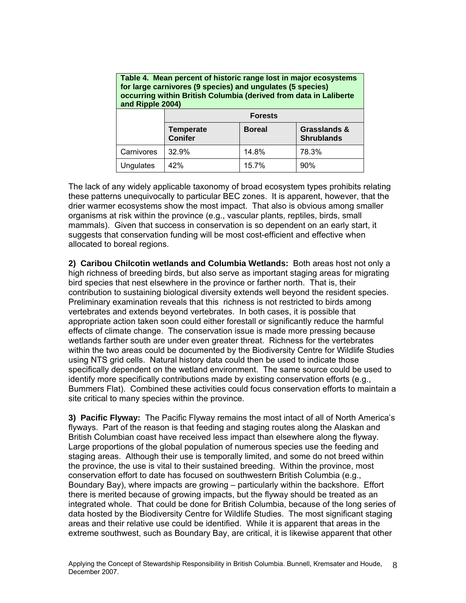| for large carnivores (9 species) and ungulates (5 species)<br>occurring within British Columbia (derived from data in Laliberte<br>and Ripple 2004) |                                    |               |                                              |  |  |
|-----------------------------------------------------------------------------------------------------------------------------------------------------|------------------------------------|---------------|----------------------------------------------|--|--|
|                                                                                                                                                     | <b>Forests</b>                     |               |                                              |  |  |
|                                                                                                                                                     | <b>Temperate</b><br><b>Conifer</b> | <b>Boreal</b> | <b>Grasslands &amp;</b><br><b>Shrublands</b> |  |  |
| Carnivores                                                                                                                                          | 32.9%                              | 14.8%         | 78.3%                                        |  |  |
| Ungulates                                                                                                                                           | 42%                                | 15.7%         | 90%                                          |  |  |

<span id="page-18-0"></span>**Table 4. Mean percent of historic range lost in major ecosystems** 

The lack of any widely applicable taxonomy of broad ecosystem types prohibits relating these patterns unequivocally to particular BEC zones. It is apparent, however, that the drier warmer ecosystems show the most impact. That also is obvious among smaller organisms at risk within the province (e.g., vascular plants, reptiles, birds, small mammals). Given that success in conservation is so dependent on an early start, it suggests that conservation funding will be most cost-efficient and effective when allocated to boreal regions.

**2) Caribou Chilcotin wetlands and Columbia Wetlands:** Both areas host not only a high richness of breeding birds, but also serve as important staging areas for migrating bird species that nest elsewhere in the province or farther north. That is, their contribution to sustaining biological diversity extends well beyond the resident species. Preliminary examination reveals that this richness is not restricted to birds among vertebrates and extends beyond vertebrates. In both cases, it is possible that appropriate action taken soon could either forestall or significantly reduce the harmful effects of climate change. The conservation issue is made more pressing because wetlands farther south are under even greater threat. Richness for the vertebrates within the two areas could be documented by the Biodiversity Centre for Wildlife Studies using NTS grid cells. Natural history data could then be used to indicate those specifically dependent on the wetland environment. The same source could be used to identify more specifically contributions made by existing conservation efforts (e.g., Bummers Flat). Combined these activities could focus conservation efforts to maintain a site critical to many species within the province.

**3) Pacific Flyway:** The Pacific Flyway remains the most intact of all of North America's flyways. Part of the reason is that feeding and staging routes along the Alaskan and British Columbian coast have received less impact than elsewhere along the flyway. Large proportions of the global population of numerous species use the feeding and staging areas. Although their use is temporally limited, and some do not breed within the province, the use is vital to their sustained breeding. Within the province, most conservation effort to date has focused on southwestern British Columbia (e.g., Boundary Bay), where impacts are growing – particularly within the backshore. Effort there is merited because of growing impacts, but the flyway should be treated as an integrated whole. That could be done for British Columbia, because of the long series of data hosted by the Biodiversity Centre for Wildlife Studies. The most significant staging areas and their relative use could be identified. While it is apparent that areas in the extreme southwest, such as Boundary Bay, are critical, it is likewise apparent that other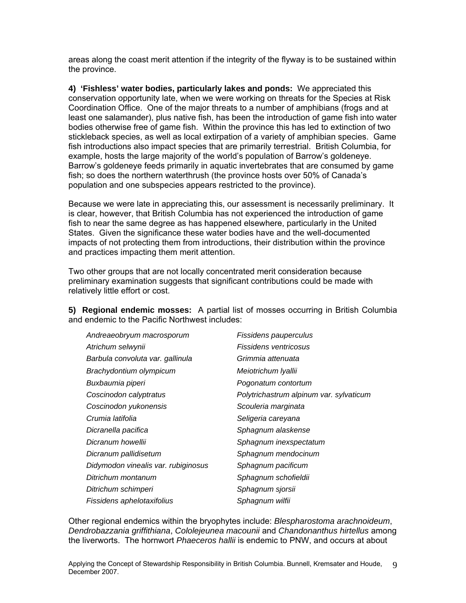areas along the coast merit attention if the integrity of the flyway is to be sustained within the province.

**4) 'Fishless' water bodies, particularly lakes and ponds:** We appreciated this conservation opportunity late, when we were working on threats for the Species at Risk Coordination Office. One of the major threats to a number of amphibians (frogs and at least one salamander), plus native fish, has been the introduction of game fish into water bodies otherwise free of game fish. Within the province this has led to extinction of two stickleback species, as well as local extirpation of a variety of amphibian species. Game fish introductions also impact species that are primarily terrestrial. British Columbia, for example, hosts the large majority of the world's population of Barrow's goldeneye. Barrow's goldeneye feeds primarily in aquatic invertebrates that are consumed by game fish; so does the northern waterthrush (the province hosts over 50% of Canada's population and one subspecies appears restricted to the province).

Because we were late in appreciating this, our assessment is necessarily preliminary. It is clear, however, that British Columbia has not experienced the introduction of game fish to near the same degree as has happened elsewhere, particularly in the United States. Given the significance these water bodies have and the well-documented impacts of not protecting them from introductions, their distribution within the province and practices impacting them merit attention.

Two other groups that are not locally concentrated merit consideration because preliminary examination suggests that significant contributions could be made with relatively little effort or cost.

**5) Regional endemic mosses:** A partial list of mosses occurring in British Columbia and endemic to the Pacific Northwest includes:

| Andreaeobryum macrosporum           | Fissidens pauperculus                   |
|-------------------------------------|-----------------------------------------|
| Atrichum selwynii                   | Fissidens ventricosus                   |
| Barbula convoluta var. gallinula    | Grimmia attenuata                       |
| Brachydontium olympicum             | Meiotrichum Iyallii                     |
| Buxbaumia piperi                    | Pogonatum contortum                     |
| Coscinodon calyptratus              | Polytrichastrum alpinum var. sylvaticum |
| Coscinodon yukonensis               | Scouleria marginata                     |
| Crumia latifolia                    | Seligeria careyana                      |
| Dicranella pacifica                 | Sphagnum alaskense                      |
| Dicranum howellii                   | Sphagnum inexspectatum                  |
| Dicranum pallidisetum               | Sphagnum mendocinum                     |
| Didymodon vinealis var. rubiginosus | Sphagnum pacificum                      |
| Ditrichum montanum                  | Sphagnum schofieldii                    |
| Ditrichum schimperi                 | Sphagnum sjorsii                        |
| Fissidens aphelotaxifolius          | Sphagnum wilfii                         |

Other regional endemics within the bryophytes include: *Blespharostoma arachnoideum*, *Dendrobazzania griffithiana*, *Cololejeunea macounii* and *Chandonanthus hirtellus* among the liverworts. The hornwort *Phaeceros hallii* is endemic to PNW, and occurs at about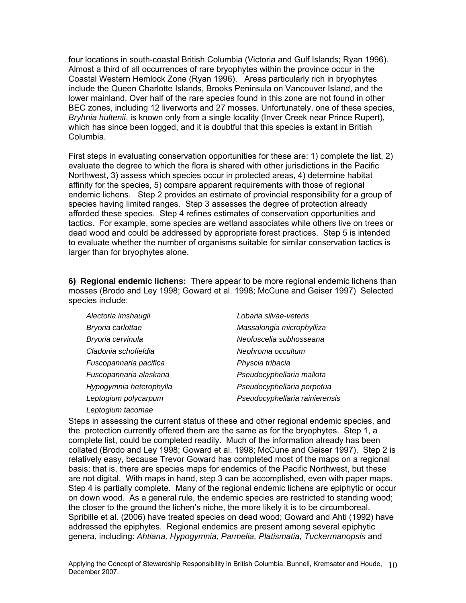four locations in south-coastal British Columbia (Victoria and Gulf Islands; Ryan 1996). Almost a third of all occurrences of rare bryophytes within the province occur in the Coastal Western Hemlock Zone (Ryan 1996). Areas particularly rich in bryophytes include the Queen Charlotte Islands, Brooks Peninsula on Vancouver Island, and the lower mainland. Over half of the rare species found in this zone are not found in other BEC zones, including 12 liverworts and 27 mosses. Unfortunately, one of these species, *Bryhnia hultenii*, is known only from a single locality (Inver Creek near Prince Rupert), which has since been logged, and it is doubtful that this species is extant in British Columbia.

First steps in evaluating conservation opportunities for these are: 1) complete the list, 2) evaluate the degree to which the flora is shared with other jurisdictions in the Pacific Northwest, 3) assess which species occur in protected areas, 4) determine habitat affinity for the species, 5) compare apparent requirements with those of regional endemic lichens. Step 2 provides an estimate of provincial responsibility for a group of species having limited ranges. Step 3 assesses the degree of protection already afforded these species. Step 4 refines estimates of conservation opportunities and tactics. For example, some species are wetland associates while others live on trees or dead wood and could be addressed by appropriate forest practices. Step 5 is intended to evaluate whether the number of organisms suitable for similar conservation tactics is larger than for bryophytes alone.

**6) Regional endemic lichens:** There appear to be more regional endemic lichens than mosses (Brodo and Ley 1998; Goward et al. 1998; McCune and Geiser 1997) Selected species include:

| Alectoria imshaugii     | Lobaria silvae-veteris         |
|-------------------------|--------------------------------|
| Bryoria carlottae       | Massalongia microphylliza      |
| Bryoria cervinula       | Neofuscelia subhosseana        |
| Cladonia schofieldia    | Nephroma occultum              |
| Fuscopannaria pacifica  | Physcia tribacia               |
| Fuscopannaria alaskana  | Pseudocyphellaria mallota      |
| Hypogymnia heterophylla | Pseudocyphellaria perpetua     |
| Leptogium polycarpum    | Pseudocyphellaria rainierensis |
| Leptogium tacomae       |                                |

Steps in assessing the current status of these and other regional endemic species, and the protection currently offered them are the same as for the bryophytes. Step 1, a complete list, could be completed readily. Much of the information already has been collated (Brodo and Ley 1998; Goward et al. 1998; McCune and Geiser 1997). Step 2 is relatively easy, because Trevor Goward has completed most of the maps on a regional basis; that is, there are species maps for endemics of the Pacific Northwest, but these are not digital. With maps in hand, step 3 can be accomplished, even with paper maps. Step 4 is partially complete. Many of the regional endemic lichens are epiphytic or occur on down wood. As a general rule, the endemic species are restricted to standing wood; the closer to the ground the lichen's niche, the more likely it is to be circumboreal. Spribille et al. (2006) have treated species on dead wood; Goward and Ahti (1992) have addressed the epiphytes. Regional endemics are present among several epiphytic genera, including: *Ahtiana, Hypogymnia, Parmelia, Platismatia, Tuckermanopsis* and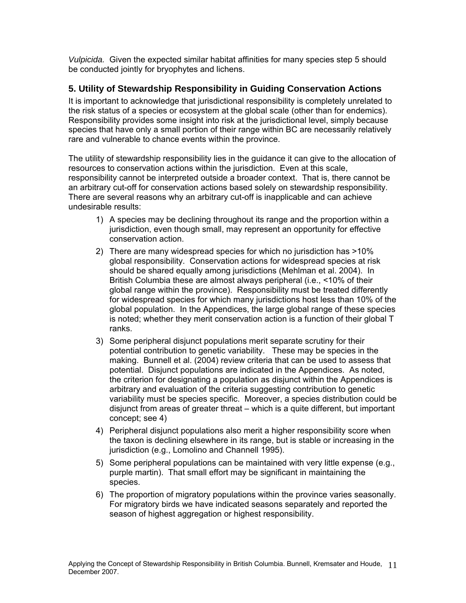<span id="page-21-0"></span>*Vulpicida.* Given the expected similar habitat affinities for many species step 5 should be conducted jointly for bryophytes and lichens.

#### **5. Utility of Stewardship Responsibility in Guiding Conservation Actions**

It is important to acknowledge that jurisdictional responsibility is completely unrelated to the risk status of a species or ecosystem at the global scale (other than for endemics). Responsibility provides some insight into risk at the jurisdictional level, simply because species that have only a small portion of their range within BC are necessarily relatively rare and vulnerable to chance events within the province.

The utility of stewardship responsibility lies in the guidance it can give to the allocation of resources to conservation actions within the jurisdiction. Even at this scale, responsibility cannot be interpreted outside a broader context. That is, there cannot be an arbitrary cut-off for conservation actions based solely on stewardship responsibility. There are several reasons why an arbitrary cut-off is inapplicable and can achieve undesirable results:

- 1) A species may be declining throughout its range and the proportion within a jurisdiction, even though small, may represent an opportunity for effective conservation action.
- 2) There are many widespread species for which no jurisdiction has >10% global responsibility. Conservation actions for widespread species at risk should be shared equally among jurisdictions (Mehlman et al. 2004). In British Columbia these are almost always peripheral (i.e., <10% of their global range within the province). Responsibility must be treated differently for widespread species for which many jurisdictions host less than 10% of the global population. In the Appendices, the large global range of these species is noted; whether they merit conservation action is a function of their global T ranks.
- 3) Some peripheral disjunct populations merit separate scrutiny for their potential contribution to genetic variability. These may be species in the making. Bunnell et al. (2004) review criteria that can be used to assess that potential. Disjunct populations are indicated in the Appendices. As noted, the criterion for designating a population as disjunct within the Appendices is arbitrary and evaluation of the criteria suggesting contribution to genetic variability must be species specific. Moreover, a species distribution could be disjunct from areas of greater threat – which is a quite different, but important concept; see 4)
- 4) Peripheral disjunct populations also merit a higher responsibility score when the taxon is declining elsewhere in its range, but is stable or increasing in the iurisdiction (e.g., Lomolino and Channell 1995).
- 5) Some peripheral populations can be maintained with very little expense (e.g., purple martin). That small effort may be significant in maintaining the species.
- 6) The proportion of migratory populations within the province varies seasonally. For migratory birds we have indicated seasons separately and reported the season of highest aggregation or highest responsibility.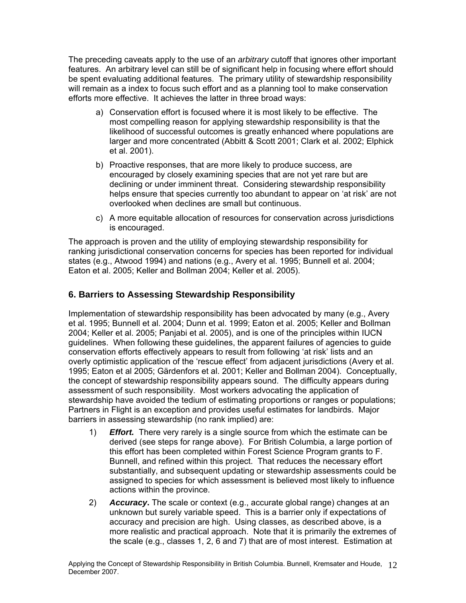<span id="page-22-0"></span>The preceding caveats apply to the use of an *arbitrary* cutoff that ignores other important features. An arbitrary level can still be of significant help in focusing where effort should be spent evaluating additional features. The primary utility of stewardship responsibility will remain as a index to focus such effort and as a planning tool to make conservation efforts more effective. It achieves the latter in three broad ways:

- a) Conservation effort is focused where it is most likely to be effective. The most compelling reason for applying stewardship responsibility is that the likelihood of successful outcomes is greatly enhanced where populations are larger and more concentrated (Abbitt & Scott 2001; Clark et al. 2002; Elphick et al. 2001).
- b) Proactive responses, that are more likely to produce success, are encouraged by closely examining species that are not yet rare but are declining or under imminent threat. Considering stewardship responsibility helps ensure that species currently too abundant to appear on 'at risk' are not overlooked when declines are small but continuous.
- c) A more equitable allocation of resources for conservation across jurisdictions is encouraged.

The approach is proven and the utility of employing stewardship responsibility for ranking jurisdictional conservation concerns for species has been reported for individual states (e.g., Atwood 1994) and nations (e.g., Avery et al. 1995; Bunnell et al. 2004; Eaton et al. 2005; Keller and Bollman 2004; Keller et al. 2005).

#### **6. Barriers to Assessing Stewardship Responsibility**

Implementation of stewardship responsibility has been advocated by many (e.g., Avery et al. 1995; Bunnell et al. 2004; Dunn et al. 1999; Eaton et al. 2005; Keller and Bollman 2004; Keller et al. 2005; Panjabi et al. 2005), and is one of the principles within IUCN guidelines. When following these guidelines, the apparent failures of agencies to guide conservation efforts effectively appears to result from following 'at risk' lists and an overly optimistic application of the 'rescue effect' from adjacent jurisdictions (Avery et al. 1995; Eaton et al 2005; Gärdenfors et al. 2001; Keller and Bollman 2004). Conceptually, the concept of stewardship responsibility appears sound. The difficulty appears during assessment of such responsibility. Most workers advocating the application of stewardship have avoided the tedium of estimating proportions or ranges or populations; Partners in Flight is an exception and provides useful estimates for landbirds. Major barriers in assessing stewardship (no rank implied) are:

- 1) *Effort.* There very rarely is a single source from which the estimate can be derived (see steps for range above). For British Columbia, a large portion of this effort has been completed within Forest Science Program grants to F. Bunnell, and refined within this project. That reduces the necessary effort substantially, and subsequent updating or stewardship assessments could be assigned to species for which assessment is believed most likely to influence actions within the province.
- 2) *Accuracy***.** The scale or context (e.g., accurate global range) changes at an unknown but surely variable speed. This is a barrier only if expectations of accuracy and precision are high. Using classes, as described above, is a more realistic and practical approach. Note that it is primarily the extremes of the scale (e.g., classes 1, 2, 6 and 7) that are of most interest. Estimation at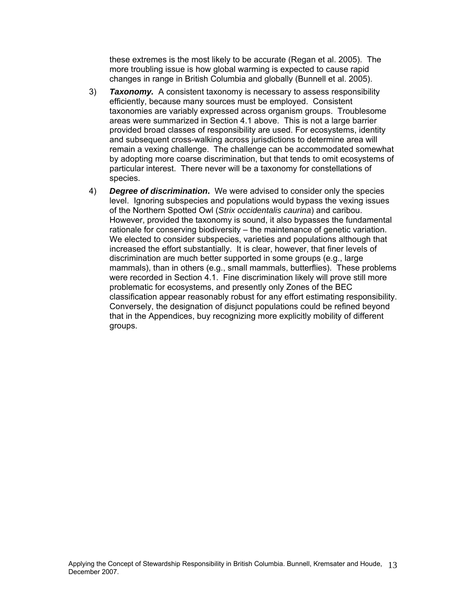these extremes is the most likely to be accurate (Regan et al. 2005). The more troubling issue is how global warming is expected to cause rapid changes in range in British Columbia and globally (Bunnell et al. 2005).

- 3) *Taxonomy.* A consistent taxonomy is necessary to assess responsibility efficiently, because many sources must be employed. Consistent taxonomies are variably expressed across organism groups. Troublesome areas were summarized in Section 4.1 above. This is not a large barrier provided broad classes of responsibility are used. For ecosystems, identity and subsequent cross-walking across jurisdictions to determine area will remain a vexing challenge. The challenge can be accommodated somewhat by adopting more coarse discrimination, but that tends to omit ecosystems of particular interest. There never will be a taxonomy for constellations of species.
- 4) *Degree of discrimination***.** We were advised to consider only the species level. Ignoring subspecies and populations would bypass the vexing issues of the Northern Spotted Owl (*Strix occidentalis caurina*) and caribou. However, provided the taxonomy is sound, it also bypasses the fundamental rationale for conserving biodiversity – the maintenance of genetic variation. We elected to consider subspecies, varieties and populations although that increased the effort substantially. It is clear, however, that finer levels of discrimination are much better supported in some groups (e.g., large mammals), than in others (e.g., small mammals, butterflies). These problems were recorded in Section 4.1. Fine discrimination likely will prove still more problematic for ecosystems, and presently only Zones of the BEC classification appear reasonably robust for any effort estimating responsibility. Conversely, the designation of disjunct populations could be refined beyond that in the Appendices, buy recognizing more explicitly mobility of different groups.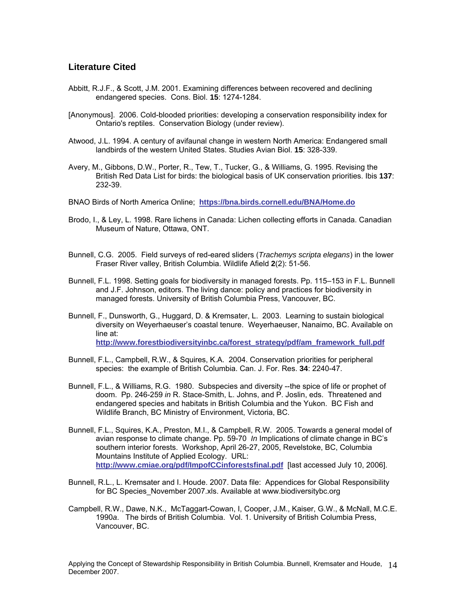#### <span id="page-24-0"></span>**Literature Cited**

- Abbitt, R.J.F., & Scott, J.M. 2001. Examining differences between recovered and declining endangered species. Cons. Biol. **15**: 1274-1284.
- [Anonymous]. 2006. Cold-blooded priorities: developing a conservation responsibility index for Ontario's reptiles. Conservation Biology (under review).
- Atwood, J.L. 1994. A century of avifaunal change in western North America: Endangered small landbirds of the western United States. Studies Avian Biol. **15**: 328-339.
- Avery, M., Gibbons, D.W., Porter, R., Tew, T., Tucker, G., & Williams, G. 1995. Revising the British Red Data List for birds: the biological basis of UK conservation priorities. Ibis **137**: 232-39.
- BNAO Birds of North America Online; **<https://bna.birds.cornell.edu/BNA/Home.do>**
- Brodo, I., & Ley, L. 1998. Rare lichens in Canada: Lichen collecting efforts in Canada. Canadian Museum of Nature, Ottawa, ONT.
- Bunnell, C.G. 2005. Field surveys of red-eared sliders (*Trachemys scripta elegans*) in the lower Fraser River valley, British Columbia. Wildlife Afield **2**(2): 51-56.
- Bunnell, F.L. 1998. Setting goals for biodiversity in managed forests. Pp. 115–153 in F.L. Bunnell and J.F. Johnson, editors. The living dance: policy and practices for biodiversity in managed forests. University of British Columbia Press, Vancouver, BC.
- Bunnell, F., Dunsworth, G., Huggard, D. & Kremsater, L. 2003. Learning to sustain biological diversity on Weyerhaeuser's coastal tenure. Weyerhaeuser, Nanaimo, BC. Available on line at: **[http://www.forestbiodiversityinbc.ca/forest\\_strategy/pdf/am\\_framework\\_full.pdf](http://www.forestbiodiversityinbc.ca/forest_strategy/pdf/am_framework_full.pdf)**
- Bunnell, F.L., Campbell, R.W., & Squires, K.A. 2004. Conservation priorities for peripheral species: the example of British Columbia. Can. J. For. Res. **34**: 2240-47.
- Bunnell, F.L., & Williams, R.G. 1980. Subspecies and diversity --the spice of life or prophet of doom. Pp. 246-259 *in* R. Stace-Smith, L. Johns, and P. Joslin, eds. Threatened and endangered species and habitats in British Columbia and the Yukon. BC Fish and Wildlife Branch, BC Ministry of Environment, Victoria, BC.
- Bunnell, F.L., Squires, K.A., Preston, M.I., & Campbell, R.W. 2005. Towards a general model of avian response to climate change. Pp. 59-70 *In* Implications of climate change in BC's southern interior forests. Workshop, April 26-27, 2005, Revelstoke, BC, Columbia Mountains Institute of Applied Ecology. URL: **<http://www.cmiae.org/pdf/ImpofCCinforestsfinal.pdf>** [last accessed July 10, 2006].
- Bunnell, R.L., L. Kremsater and I. Houde. 2007. Data file: Appendices for Global Responsibility for BC Species\_November 2007.xls. Available at www.biodiversitybc.org
- Campbell, R.W., Dawe, N.K., McTaggart-Cowan, I, Cooper, J.M., Kaiser, G.W., & McNall, M.C.E. 1990*a*. The birds of British Columbia. Vol. 1. University of British Columbia Press, Vancouver, BC.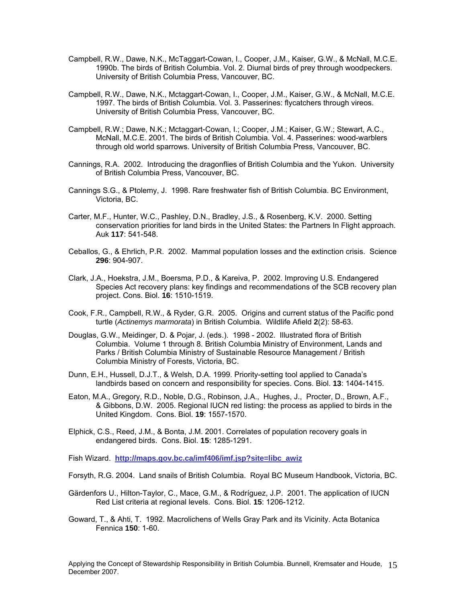- Campbell, R.W., Dawe, N.K., McTaggart-Cowan, I., Cooper, J.M., Kaiser, G.W., & McNall, M.C.E. 1990b. The birds of British Columbia. Vol. 2. Diurnal birds of prey through woodpeckers. University of British Columbia Press, Vancouver, BC.
- Campbell, R.W., Dawe, N.K., Mctaggart-Cowan, I., Cooper, J.M., Kaiser, G.W., & McNall, M.C.E. 1997. The birds of British Columbia. Vol. 3. Passerines: flycatchers through vireos. University of British Columbia Press, Vancouver, BC.
- Campbell, R.W.; Dawe, N.K.; Mctaggart-Cowan, I.; Cooper, J.M.; Kaiser, G.W.; Stewart, A.C., McNall, M.C.E. 2001. The birds of British Columbia. Vol. 4. Passerines: wood-warblers through old world sparrows. University of British Columbia Press, Vancouver, BC.
- Cannings, R.A. 2002. Introducing the dragonflies of British Columbia and the Yukon. University of British Columbia Press, Vancouver, BC.
- Cannings S.G., & Ptolemy, J. 1998. Rare freshwater fish of British Columbia. BC Environment, Victoria, BC.
- Carter, M.F., Hunter, W.C., Pashley, D.N., Bradley, J.S., & Rosenberg, K.V. 2000. Setting conservation priorities for land birds in the United States: the Partners In Flight approach. Auk **117**: 541-548.
- Ceballos, G., & Ehrlich, P.R. 2002. Mammal population losses and the extinction crisis. Science **296**: 904-907.
- Clark, J.A., Hoekstra, J.M., Boersma, P.D., & Kareiva, P. 2002. Improving U.S. Endangered Species Act recovery plans: key findings and recommendations of the SCB recovery plan project. Cons. Biol. **16**: 1510-1519.
- Cook, F.R., Campbell, R.W., & Ryder, G.R. 2005. Origins and current status of the Pacific pond turtle (*Actinemys marmorata*) in British Columbia. Wildlife Afield **2**(2): 58-63.
- Douglas, G.W., Meidinger, D. & Pojar, J. (eds.). 1998 2002. Illustrated flora of British Columbia. Volume 1 through 8. British Columbia Ministry of Environment, Lands and Parks / British Columbia Ministry of Sustainable Resource Management / British Columbia Ministry of Forests, Victoria, BC.
- Dunn, E.H., Hussell, D.J.T., & Welsh, D.A. 1999. Priority-setting tool applied to Canada's landbirds based on concern and responsibility for species. Cons. Biol. **13**: 1404-1415.
- Eaton, M.A., Gregory, R.D., Noble, D.G., Robinson, J.A., Hughes, J., Procter, D., Brown, A.F., & Gibbons, D.W. 2005. Regional IUCN red listing: the process as applied to birds in the United Kingdom. Cons. Biol. **19**: 1557-1570.
- Elphick, C.S., Reed, J.M., & Bonta, J.M. 2001. Correlates of population recovery goals in endangered birds. Cons. Biol. **15**: 1285-1291.

Fish Wizard. **[http://maps.gov.bc.ca/imf406/imf.jsp?site=libc\\_awiz](http://maps.gov.bc.ca/imf406/imf.jsp?site=libc_awiz)**

- Forsyth, R.G. 2004. Land snails of British Columbia. Royal BC Museum Handbook, Victoria, BC.
- Gärdenfors U., Hilton-Taylor, C., Mace, G.M., & Rodríguez, J.P. 2001. The application of IUCN Red List criteria at regional levels. Cons. Biol. **15**: 1206-1212.
- Goward, T., & Ahti, T. 1992. Macrolichens of Wells Gray Park and its Vicinity. Acta Botanica Fennica **150**: 1-60.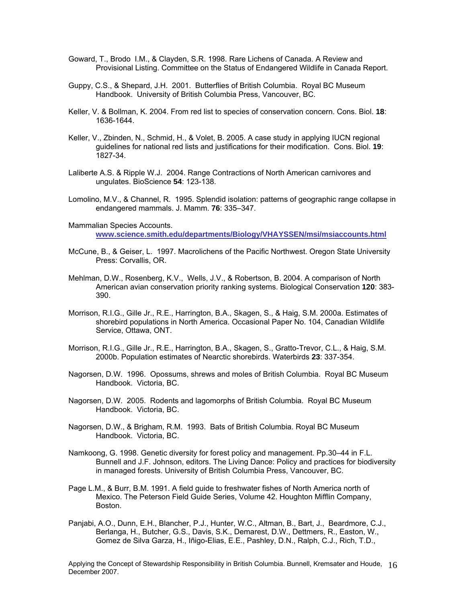- Goward, T., Brodo I.M., & Clayden, S.R. 1998. Rare Lichens of Canada. A Review and Provisional Listing. Committee on the Status of Endangered Wildlife in Canada Report.
- Guppy, C.S., & Shepard, J.H. 2001. Butterflies of British Columbia. Royal BC Museum Handbook. University of British Columbia Press, Vancouver, BC.
- Keller, V. & Bollman, K. 2004. From red list to species of conservation concern. Cons. Biol. **18**: 1636-1644.
- Keller, V., Zbinden, N., Schmid, H., & Volet, B. 2005. A case study in applying IUCN regional guidelines for national red lists and justifications for their modification. Cons. Biol. **19**: 1827-34.
- Laliberte A.S. & Ripple W.J. 2004. Range Contractions of North American carnivores and ungulates. BioScience **54**: 123-138.
- Lomolino, M.V., & Channel, R. 1995. Splendid isolation: patterns of geographic range collapse in endangered mammals. J. Mamm. **76**: 335–347.
- Mammalian Species Accounts. **[www.science.smith.edu/departments/Biology/VHAYSSEN/msi/msiaccounts.html](http://www.science.smith.edu/departments/Biology/VHAYSSEN/msi/msiaccounts.html)**
- McCune, B., & Geiser, L. 1997. Macrolichens of the Pacific Northwest. Oregon State University Press: Corvallis, OR.
- Mehlman, D.W., Rosenberg, K.V., Wells, J.V., & Robertson, B. 2004. A comparison of North American avian conservation priority ranking systems. Biological Conservation **120**: 383- 390.
- Morrison, R.I.G., Gille Jr., R.E., Harrington, B.A., Skagen, S., & Haig, S.M. 2000a. Estimates of shorebird populations in North America. Occasional Paper No. 104, Canadian Wildlife Service, Ottawa, ONT.
- Morrison, R.I.G., Gille Jr., R.E., Harrington, B.A., Skagen, S., Gratto-Trevor, C.L., & Haig, S.M. 2000b. Population estimates of Nearctic shorebirds. Waterbirds **23**: 337-354.
- Nagorsen, D.W. 1996. Opossums, shrews and moles of British Columbia. Royal BC Museum Handbook. Victoria, BC.
- Nagorsen, D.W. 2005. Rodents and lagomorphs of British Columbia. Royal BC Museum Handbook. Victoria, BC.
- Nagorsen, D.W., & Brigham, R.M. 1993. Bats of British Columbia. Royal BC Museum Handbook. Victoria, BC.
- Namkoong, G. 1998. Genetic diversity for forest policy and management. Pp.30–44 in F.L. Bunnell and J.F. Johnson, editors. The Living Dance: Policy and practices for biodiversity in managed forests. University of British Columbia Press, Vancouver, BC.
- Page L.M., & Burr, B.M. 1991. A field guide to freshwater fishes of North America north of Mexico. The Peterson Field Guide Series, Volume 42. Houghton Mifflin Company, Boston.
- Panjabi, A.O., Dunn, E.H., Blancher, P.J., Hunter, W.C., Altman, B., Bart, J., Beardmore, C.J., Berlanga, H., Butcher, G.S., Davis, S.K., Demarest, D.W., Dettmers, R., Easton, W., Gomez de Silva Garza, H., Iñigo-Elias, E.E., Pashley, D.N., Ralph, C.J., Rich, T.D.,